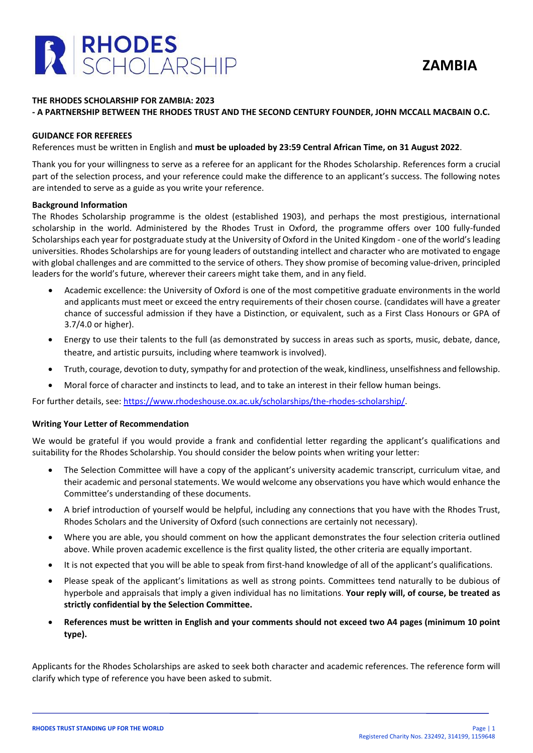

## **THE RHODES SCHOLARSHIP FOR ZAMBIA: 2023**

## **- A PARTNERSHIP BETWEEN THE RHODES TRUST AND THE SECOND CENTURY FOUNDER, JOHN MCCALL MACBAIN O.C.**

### **GUIDANCE FOR REFEREES**

References must be written in English and **must be uploaded by 23:59 Central African Time, on 31 August 2022**.

Thank you for your willingness to serve as a referee for an applicant for the Rhodes Scholarship. References form a crucial part of the selection process, and your reference could make the difference to an applicant's success. The following notes are intended to serve as a guide as you write your reference.

### **Background Information**

The Rhodes Scholarship programme is the oldest (established 1903), and perhaps the most prestigious, international scholarship in the world. Administered by the Rhodes Trust in Oxford, the programme offers over 100 fully-funded Scholarships each year for postgraduate study at the University of Oxford in the United Kingdom - one of the world's leading universities. Rhodes Scholarships are for young leaders of outstanding intellect and character who are motivated to engage with global challenges and are committed to the service of others. They show promise of becoming value-driven, principled leaders for the world's future, wherever their careers might take them, and in any field.

- Academic excellence: the University of Oxford is one of the most competitive graduate environments in the world and applicants must meet or exceed the entry requirements of their chosen course. (candidates will have a greater chance of successful admission if they have a Distinction, or equivalent, such as a First Class Honours or GPA of 3.7/4.0 or higher).
- Energy to use their talents to the full (as demonstrated by success in areas such as sports, music, debate, dance, theatre, and artistic pursuits, including where teamwork is involved).
- Truth, courage, devotion to duty, sympathy for and protection of the weak, kindliness, unselfishness and fellowship.
- Moral force of character and instincts to lead, and to take an interest in their fellow human beings.

For further details, see: [https://www.rhodeshouse.ox.ac.uk/scholarships/the-rhodes-scholarship/.](https://www.rhodeshouse.ox.ac.uk/scholarships/the-rhodes-scholarship/)

#### **Writing Your Letter of Recommendation**

We would be grateful if you would provide a frank and confidential letter regarding the applicant's qualifications and suitability for the Rhodes Scholarship. You should consider the below points when writing your letter:

- The Selection Committee will have a copy of the applicant's university academic transcript, curriculum vitae, and their academic and personal statements. We would welcome any observations you have which would enhance the Committee's understanding of these documents.
- A brief introduction of yourself would be helpful, including any connections that you have with the Rhodes Trust, Rhodes Scholars and the University of Oxford (such connections are certainly not necessary).
- Where you are able, you should comment on how the applicant demonstrates the four selection criteria outlined above. While proven academic excellence is the first quality listed, the other criteria are equally important.
- It is not expected that you will be able to speak from first-hand knowledge of all of the applicant's qualifications.
- Please speak of the applicant's limitations as well as strong points. Committees tend naturally to be dubious of hyperbole and appraisals that imply a given individual has no limitations. **Your reply will, of course, be treated as strictly confidential by the Selection Committee.**
- **References must be written in English and your comments should not exceed two A4 pages (minimum 10 point type).**

Applicants for the Rhodes Scholarships are asked to seek both character and academic references. The reference form will clarify which type of reference you have been asked to submit.